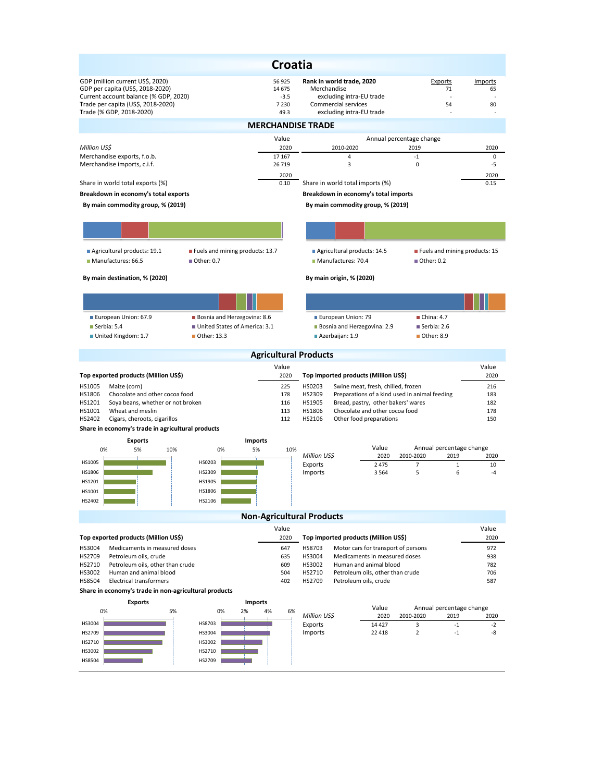| <b>Croatia</b>                                                                                                                                      |                                            |                                                                                                         |                                               |                     |  |  |  |  |  |  |  |
|-----------------------------------------------------------------------------------------------------------------------------------------------------|--------------------------------------------|---------------------------------------------------------------------------------------------------------|-----------------------------------------------|---------------------|--|--|--|--|--|--|--|
| GDP (million current US\$, 2020)<br>GDP per capita (US\$, 2018-2020)<br>Current account balance (% GDP, 2020)<br>Trade per capita (US\$, 2018-2020) | 56 925<br>14 675<br>$-3.5$<br>7 2 3 0      | Rank in world trade, 2020<br>Merchandise<br>excluding intra-EU trade<br>Commercial services             | Exports<br>71<br>54                           | Imports<br>65<br>80 |  |  |  |  |  |  |  |
| Trade (% GDP, 2018-2020)                                                                                                                            | 49.3                                       | excluding intra-EU trade                                                                                |                                               |                     |  |  |  |  |  |  |  |
| <b>MERCHANDISE TRADE</b>                                                                                                                            |                                            |                                                                                                         |                                               |                     |  |  |  |  |  |  |  |
|                                                                                                                                                     | Value                                      |                                                                                                         | Annual percentage change                      |                     |  |  |  |  |  |  |  |
| Million US\$<br>Merchandise exports, f.o.b.                                                                                                         | 2020<br>17 167                             | 2010-2020<br>$\overline{4}$                                                                             | 2019<br>$-1$                                  | 2020<br>0           |  |  |  |  |  |  |  |
| Merchandise imports, c.i.f.                                                                                                                         | 26 719                                     | 3                                                                                                       | 0                                             | $-5$                |  |  |  |  |  |  |  |
|                                                                                                                                                     | 2020                                       |                                                                                                         |                                               | 2020                |  |  |  |  |  |  |  |
| Share in world total exports (%)                                                                                                                    | 0.10                                       | Share in world total imports (%)                                                                        |                                               | 0.15                |  |  |  |  |  |  |  |
| Breakdown in economy's total exports                                                                                                                | Breakdown in economy's total imports       |                                                                                                         |                                               |                     |  |  |  |  |  |  |  |
| By main commodity group, % (2019)                                                                                                                   |                                            | By main commodity group, % (2019)                                                                       |                                               |                     |  |  |  |  |  |  |  |
|                                                                                                                                                     |                                            |                                                                                                         |                                               |                     |  |  |  |  |  |  |  |
| Agricultural products: 19.1<br>Fuels and mining products: 13.7<br>Manufactures: 66.5<br>■ Other: 0.7                                                |                                            | Agricultural products: 14.5<br>Manufactures: 70.4                                                       | Fuels and mining products: 15<br>■ Other: 0.2 |                     |  |  |  |  |  |  |  |
| By main destination, % (2020)                                                                                                                       |                                            | By main origin, % (2020)                                                                                |                                               |                     |  |  |  |  |  |  |  |
|                                                                                                                                                     |                                            |                                                                                                         |                                               |                     |  |  |  |  |  |  |  |
|                                                                                                                                                     |                                            |                                                                                                         |                                               |                     |  |  |  |  |  |  |  |
| European Union: 67.9<br>Bosnia and Herzegovina: 8.6                                                                                                 |                                            | European Union: 79                                                                                      | China: 4.7                                    |                     |  |  |  |  |  |  |  |
| United States of America: 3.1<br>$\blacksquare$ Serbia: 5.4<br>United Kingdom: 1.7<br>■ Other: 13.3                                                 |                                            | <b>Bosnia and Herzegovina: 2.9</b><br>■ Azerbaijan: 1.9                                                 | Serbia: 2.6<br>■ Other: 8.9                   |                     |  |  |  |  |  |  |  |
|                                                                                                                                                     | <b>Agricultural Products</b>               |                                                                                                         |                                               |                     |  |  |  |  |  |  |  |
|                                                                                                                                                     | Value                                      |                                                                                                         |                                               | Value               |  |  |  |  |  |  |  |
| Top exported products (Million US\$)                                                                                                                | 2020                                       | Top imported products (Million US\$)                                                                    |                                               | 2020                |  |  |  |  |  |  |  |
| HS1005<br>Maize (corn)<br>HS1806<br>Chocolate and other cocoa food                                                                                  | 225<br>178                                 | HS0203<br>Swine meat, fresh, chilled, frozen<br>HS2309<br>Preparations of a kind used in animal feeding | 216<br>183                                    |                     |  |  |  |  |  |  |  |
| HS1201<br>Soya beans, whether or not broken                                                                                                         | 116                                        | HS1905<br>Bread, pastry, other bakers' wares<br>182                                                     |                                               |                     |  |  |  |  |  |  |  |
| HS1001<br>Wheat and meslin<br>HS2402<br>Cigars, cheroots, cigarillos                                                                                | 113<br>112                                 | HS1806<br>Chocolate and other cocoa food<br>178<br>HS2106<br>Other food preparations<br>150             |                                               |                     |  |  |  |  |  |  |  |
| Share in economy's trade in agricultural products                                                                                                   |                                            |                                                                                                         |                                               |                     |  |  |  |  |  |  |  |
| <b>Exports</b>                                                                                                                                      | <b>Imports</b>                             |                                                                                                         |                                               |                     |  |  |  |  |  |  |  |
| 0%<br>5%<br>10%<br>0%                                                                                                                               | 5%<br>10%                                  | Value<br>2020                                                                                           | Annual percentage change                      |                     |  |  |  |  |  |  |  |
| HS1005<br>HS0203                                                                                                                                    |                                            | Million US\$<br>Exports<br>2 4 7 5                                                                      | 2010-2020<br>2019<br>7<br>$\mathbf{1}$        | 2020<br>10          |  |  |  |  |  |  |  |
| HS1806<br>HS2309                                                                                                                                    |                                            | Imports<br>3 5 6 4                                                                                      | 5<br>6                                        | $-4$                |  |  |  |  |  |  |  |
| HS1905<br>HS1201                                                                                                                                    |                                            |                                                                                                         |                                               |                     |  |  |  |  |  |  |  |
| HS1001<br>HS1806<br>HS2402<br>HS2106                                                                                                                |                                            |                                                                                                         |                                               |                     |  |  |  |  |  |  |  |
|                                                                                                                                                     |                                            |                                                                                                         |                                               |                     |  |  |  |  |  |  |  |
|                                                                                                                                                     | <b>Non-Agricultural Products</b>           |                                                                                                         |                                               |                     |  |  |  |  |  |  |  |
| Top exported products (Million US\$)                                                                                                                | Value<br>2020                              | Top imported products (Million US\$)                                                                    |                                               | Value<br>2020       |  |  |  |  |  |  |  |
| Medicaments in measured doses<br>HS3004                                                                                                             | 647                                        | Motor cars for transport of persons<br>HS8703                                                           |                                               | 972                 |  |  |  |  |  |  |  |
| HS2709<br>Petroleum oils, crude                                                                                                                     | 635                                        | Medicaments in measured doses<br>HS3004                                                                 |                                               | 938                 |  |  |  |  |  |  |  |
| HS2710<br>Petroleum oils, other than crude<br>HS3002<br>Human and animal blood                                                                      | HS3002<br>Human and animal blood<br>HS2710 |                                                                                                         | 782<br>706                                    |                     |  |  |  |  |  |  |  |
| HS8504<br><b>Electrical transformers</b>                                                                                                            | 504<br>402                                 | Petroleum oils, other than crude<br>HS2709<br>Petroleum oils, crude                                     |                                               | 587                 |  |  |  |  |  |  |  |
| Share in economy's trade in non-agricultural products                                                                                               |                                            |                                                                                                         |                                               |                     |  |  |  |  |  |  |  |
| <b>Exports</b><br><b>Imports</b>                                                                                                                    |                                            |                                                                                                         |                                               |                     |  |  |  |  |  |  |  |
| 5%<br>0%<br>0%<br>2%                                                                                                                                | 4%<br>6%                                   | Value<br>Million US\$<br>2020                                                                           | Annual percentage change<br>2010-2020<br>2019 | 2020                |  |  |  |  |  |  |  |
| HS3004<br>HS8703                                                                                                                                    |                                            | Exports<br>14 4 27                                                                                      | $-1$<br>3                                     | $-2$                |  |  |  |  |  |  |  |
| HS2709<br>HS3004                                                                                                                                    |                                            | Imports<br>22 4 18                                                                                      | $\overline{2}$<br>$-1$                        | -8                  |  |  |  |  |  |  |  |
| HS2710<br>HS3002<br>HS3002<br>HS2710                                                                                                                |                                            |                                                                                                         |                                               |                     |  |  |  |  |  |  |  |
| HS2709<br>HS8504                                                                                                                                    |                                            |                                                                                                         |                                               |                     |  |  |  |  |  |  |  |
|                                                                                                                                                     |                                            |                                                                                                         |                                               |                     |  |  |  |  |  |  |  |